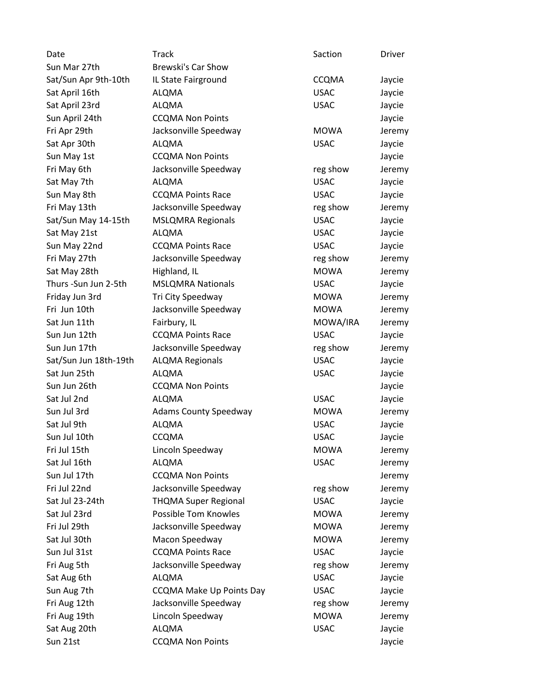| Date                  | Track                           | Saction      | Driver |
|-----------------------|---------------------------------|--------------|--------|
| Sun Mar 27th          | Brewski's Car Show              |              |        |
| Sat/Sun Apr 9th-10th  | IL State Fairground             | <b>CCQMA</b> | Jaycie |
| Sat April 16th        | <b>ALQMA</b>                    | <b>USAC</b>  | Jaycie |
| Sat April 23rd        | <b>ALQMA</b>                    | <b>USAC</b>  | Jaycie |
| Sun April 24th        | <b>CCQMA Non Points</b>         |              | Jaycie |
| Fri Apr 29th          | Jacksonville Speedway           | <b>MOWA</b>  | Jeremy |
| Sat Apr 30th          | <b>ALQMA</b>                    | <b>USAC</b>  | Jaycie |
| Sun May 1st           | <b>CCQMA Non Points</b>         |              | Jaycie |
| Fri May 6th           | Jacksonville Speedway           | reg show     | Jeremy |
| Sat May 7th           | ALQMA                           | <b>USAC</b>  | Jaycie |
| Sun May 8th           | <b>CCQMA Points Race</b>        | <b>USAC</b>  | Jaycie |
| Fri May 13th          | Jacksonville Speedway           | reg show     | Jeremy |
| Sat/Sun May 14-15th   | <b>MSLQMRA Regionals</b>        | <b>USAC</b>  | Jaycie |
| Sat May 21st          | <b>ALQMA</b>                    | <b>USAC</b>  | Jaycie |
| Sun May 22nd          | <b>CCQMA Points Race</b>        | <b>USAC</b>  | Jaycie |
| Fri May 27th          | Jacksonville Speedway           | reg show     | Jeremy |
| Sat May 28th          | Highland, IL                    | <b>MOWA</b>  | Jeremy |
| Thurs - Sun Jun 2-5th | <b>MSLQMRA Nationals</b>        | <b>USAC</b>  | Jaycie |
| Friday Jun 3rd        | Tri City Speedway               | <b>MOWA</b>  | Jeremy |
| Fri Jun 10th          | Jacksonville Speedway           | <b>MOWA</b>  | Jeremy |
| Sat Jun 11th          | Fairbury, IL                    | MOWA/IRA     | Jeremy |
| Sun Jun 12th          | <b>CCQMA Points Race</b>        | <b>USAC</b>  | Jaycie |
| Sun Jun 17th          | Jacksonville Speedway           | reg show     | Jeremy |
| Sat/Sun Jun 18th-19th | <b>ALQMA Regionals</b>          | <b>USAC</b>  | Jaycie |
| Sat Jun 25th          | <b>ALQMA</b>                    | <b>USAC</b>  | Jaycie |
| Sun Jun 26th          | <b>CCQMA Non Points</b>         |              | Jaycie |
| Sat Jul 2nd           | <b>ALQMA</b>                    | <b>USAC</b>  | Jaycie |
| Sun Jul 3rd           | <b>Adams County Speedway</b>    | <b>MOWA</b>  | Jeremy |
| Sat Jul 9th           | <b>ALQMA</b>                    | <b>USAC</b>  | Jaycie |
| Sun Jul 10th          | <b>CCQMA</b>                    | <b>USAC</b>  | Jaycie |
| Fri Jul 15th          | Lincoln Speedway                | MOWA         | Jeremy |
| Sat Jul 16th          | ALQMA                           | <b>USAC</b>  | Jeremy |
| Sun Jul 17th          | <b>CCQMA Non Points</b>         |              | Jeremy |
| Fri Jul 22nd          | Jacksonville Speedway           | reg show     | Jeremy |
| Sat Jul 23-24th       | <b>THQMA Super Regional</b>     | <b>USAC</b>  | Jaycie |
| Sat Jul 23rd          | Possible Tom Knowles            | <b>MOWA</b>  | Jeremy |
| Fri Jul 29th          | Jacksonville Speedway           | <b>MOWA</b>  | Jeremy |
| Sat Jul 30th          | Macon Speedway                  | <b>MOWA</b>  | Jeremy |
| Sun Jul 31st          | <b>CCQMA Points Race</b>        | <b>USAC</b>  | Jaycie |
| Fri Aug 5th           | Jacksonville Speedway           | reg show     | Jeremy |
| Sat Aug 6th           | <b>ALQMA</b>                    | <b>USAC</b>  | Jaycie |
| Sun Aug 7th           | <b>CCQMA Make Up Points Day</b> | <b>USAC</b>  | Jaycie |
| Fri Aug 12th          | Jacksonville Speedway           | reg show     | Jeremy |
| Fri Aug 19th          | Lincoln Speedway                | <b>MOWA</b>  | Jeremy |
| Sat Aug 20th          | <b>ALQMA</b>                    | <b>USAC</b>  | Jaycie |
| Sun 21st              | <b>CCQMA Non Points</b>         |              | Jaycie |